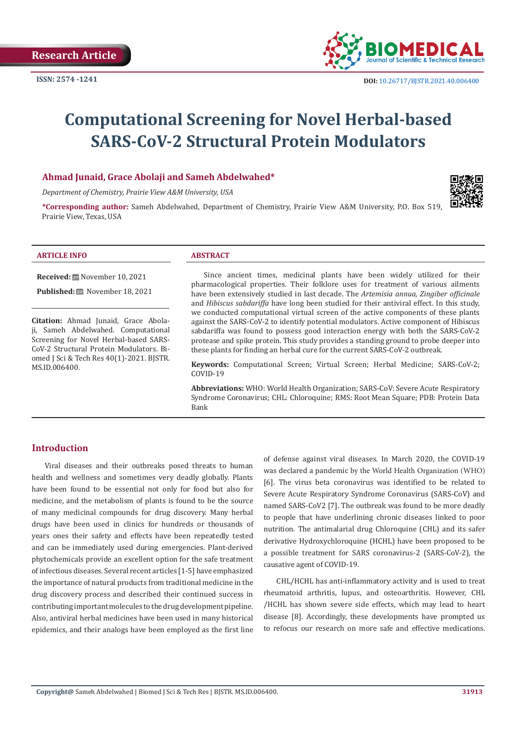

# **Computational Screening for Novel Herbal-based SARS-CoV-2 Structural Protein Modulators**

#### **Ahmad Junaid, Grace Abolaji and Sameh Abdelwahed\***

*Department of Chemistry, Prairie View A&M University, USA*

**\*Corresponding author:** Sameh Abdelwahed, Department of Chemistry, Prairie View A&M University, P.O. Box 519, Prairie View, Texas, USA



#### **ARTICLE INFO ABSTRACT**

**Received:** November 10, 2021

Published: **i** November 18, 2021

**Citation:** Ahmad Junaid, Grace Abolaji, Sameh Abdelwahed. Computational Screening for Novel Herbal-based SARS-CoV-2 Structural Protein Modulators. Biomed J Sci & Tech Res 40(1)-2021. BJSTR. MS.ID.006400.

Since ancient times, medicinal plants have been widely utilized for their pharmacological properties. Their folklore uses for treatment of various ailments have been extensively studied in last decade. The *Artemisia annua, Zingiber officinale* and *Hibiscus sabdariffa* have long been studied for their antiviral effect. In this study, we conducted computational virtual screen of the active components of these plants against the SARS-CoV-2 to identify potential modulators. Active component of Hibiscus sabdariffa was found to possess good interaction energy with both the SARS-CoV-2 protease and spike protein. This study provides a standing ground to probe deeper into these plants for finding an herbal cure for the current SARS-CoV-2 outbreak.

**Keywords:** Computational Screen; Virtual Screen; Herbal Medicine; SARS-CoV-2; COVID-19

**Abbreviations:** WHO: World Health Organization; SARS-CoV: Severe Acute Respiratory Syndrome Coronavirus; CHL: Chloroquine; RMS: Root Mean Square; PDB: Protein Data Bank

### **Introduction**

Viral diseases and their outbreaks posed threats to human health and wellness and sometimes very deadly globally. Plants have been found to be essential not only for food but also for medicine, and the metabolism of plants is found to be the source of many medicinal compounds for drug discovery. Many herbal drugs have been used in clinics for hundreds or thousands of years ones their safety and effects have been repeatedly tested and can be immediately used during emergencies. Plant-derived phytochemicals provide an excellent option for the safe treatment of infectious diseases. Several recent articles [1-5] have emphasized the importance of natural products from traditional medicine in the drug discovery process and described their continued success in contributing important molecules to the drug development pipeline. Also, antiviral herbal medicines have been used in many historical epidemics, and their analogs have been employed as the first line of defense against viral diseases. In March 2020, the COVID-19 was declared a [pandemic](https://en.wikipedia.org/wiki/Pandemic) by the World Health Organization (WHO) [6]. The virus beta coronavirus was identified to be related to Severe Acute Respiratory Syndrome Coronavirus (SARS-CoV) and named SARS-CoV2 [7]. The outbreak was found to be more deadly to people that have underlining chronic diseases linked to poor nutrition. The antimalarial drug Chloroquine (CHL) and its safer derivative Hydroxychloroquine (HCHL) have been proposed to be a possible treatment for SARS coronavirus-2 (SARS-CoV-2), the causative agent of COVID-19.

CHL/HCHL has anti-inflammatory activity and is used to treat rheumatoid arthritis, lupus, and osteoarthritis. However, CHL /HCHL has shown severe side effects, which may lead to heart disease [8]. Accordingly, these developments have prompted us to refocus our research on more safe and effective medications.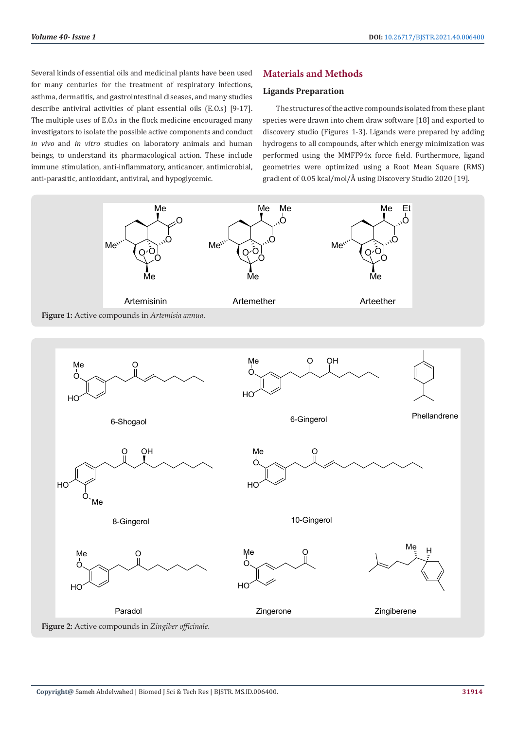Several kinds of essential oils and medicinal plants have been used for many centuries for the treatment of respiratory infections, asthma, dermatitis, and gastrointestinal diseases, and many studies describe antiviral activities of plant essential oils (E.O.s) [9-17]. The multiple uses of E.O.s in the flock medicine encouraged many investigators to isolate the possible active components and conduct *in vivo* and *in vitro* studies on laboratory animals and human beings, to understand its pharmacological action. These include immune stimulation, anti-inflammatory, anticancer, antimicrobial, anti-parasitic, antioxidant, antiviral, and hypoglycemic.

# **Materials and Methods**

#### **Ligands Preparation**

The structures of the active compounds isolated from these plant species were drawn into chem draw software [18] and exported to discovery studio (Figures 1-3). Ligands were prepared by adding hydrogens to all compounds, after which energy minimization was performed using the MMFF94x force field. Furthermore, ligand geometries were optimized using a Root Mean Square (RMS) gradient of 0.05 kcal/mol/Å using Discovery Studio 2020 [19].

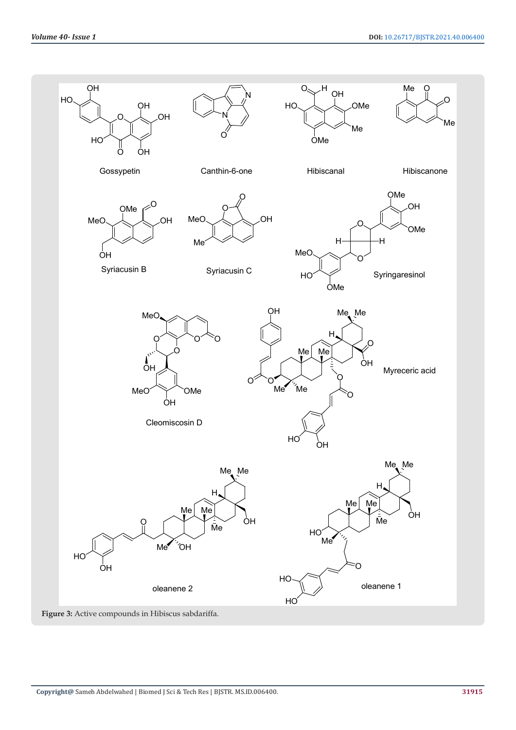

**Figure 3:** Active compounds in Hibiscus sabdariffa.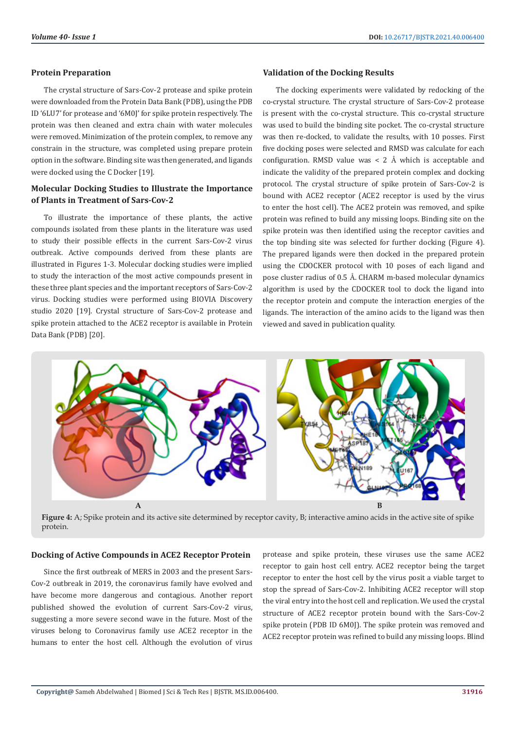#### **Protein Preparation**

The crystal structure of Sars-Cov-2 protease and spike protein were downloaded from the Protein Data Bank (PDB), using the PDB ID '6LU7' for protease and '6M0J' for spike protein respectively. The protein was then cleaned and extra chain with water molecules were removed. Minimization of the protein complex, to remove any constrain in the structure, was completed using prepare protein option in the software. Binding site was then generated, and ligands were docked using the C Docker [19].

# **Molecular Docking Studies to Illustrate the Importance of Plants in Treatment of Sars-Cov-2**

To illustrate the importance of these plants, the active compounds isolated from these plants in the literature was used to study their possible effects in the current Sars-Cov-2 virus outbreak. Active compounds derived from these plants are illustrated in Figures 1-3. Molecular docking studies were implied to study the interaction of the most active compounds present in these three plant species and the important receptors of Sars-Cov-2 virus. Docking studies were performed using BIOVIA Discovery studio 2020 [19]. Crystal structure of Sars-Cov-2 protease and spike protein attached to the ACE2 receptor is available in Protein Data Bank (PDB) [20].

#### **Validation of the Docking Results**

The docking experiments were validated by redocking of the co-crystal structure. The crystal structure of Sars-Cov-2 protease is present with the co-crystal structure. This co-crystal structure was used to build the binding site pocket. The co-crystal structure was then re-docked, to validate the results, with 10 posses. First five docking poses were selected and RMSD was calculate for each configuration. RMSD value was  $\lt$  2 Å which is acceptable and indicate the validity of the prepared protein complex and docking protocol. The crystal structure of spike protein of Sars-Cov-2 is bound with ACE2 receptor (ACE2 receptor is used by the virus to enter the host cell). The ACE2 protein was removed, and spike protein was refined to build any missing loops. Binding site on the spike protein was then identified using the receptor cavities and the top binding site was selected for further docking (Figure 4). The prepared ligands were then docked in the prepared protein using the CDOCKER protocol with 10 poses of each ligand and pose cluster radius of 0.5 Å. CHARM m-based molecular dynamics algorithm is used by the CDOCKER tool to dock the ligand into the receptor protein and compute the interaction energies of the ligands. The interaction of the amino acids to the ligand was then viewed and saved in publication quality.



**Figure 4:** A; Spike protein and its active site determined by receptor cavity, B; interactive amino acids in the active site of spike protein.

### **Docking of Active Compounds in ACE2 Receptor Protein**

Since the first outbreak of MERS in 2003 and the present Sars-Cov-2 outbreak in 2019, the coronavirus family have evolved and have become more dangerous and contagious. Another report published showed the evolution of current Sars-Cov-2 virus, suggesting a more severe second wave in the future. Most of the viruses belong to Coronavirus family use ACE2 receptor in the humans to enter the host cell. Although the evolution of virus protease and spike protein, these viruses use the same ACE2 receptor to gain host cell entry. ACE2 receptor being the target receptor to enter the host cell by the virus posit a viable target to stop the spread of Sars-Cov-2. Inhibiting ACE2 receptor will stop the viral entry into the host cell and replication. We used the crystal structure of ACE2 receptor protein bound with the Sars-Cov-2 spike protein (PDB ID 6M0J). The spike protein was removed and ACE2 receptor protein was refined to build any missing loops. Blind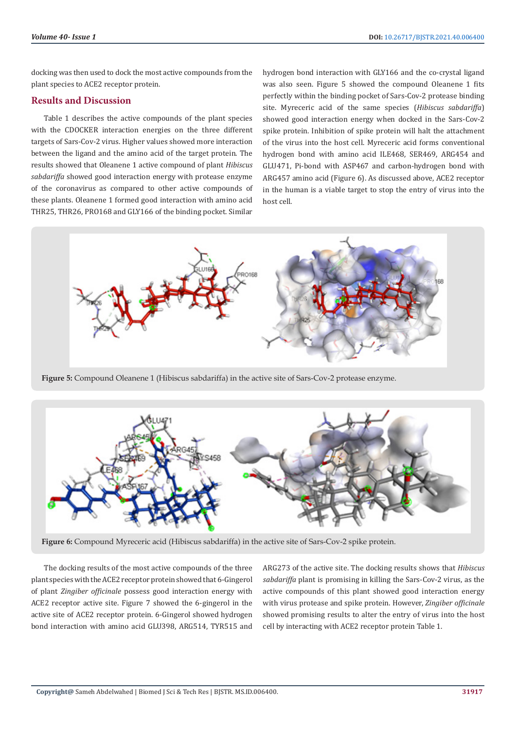docking was then used to dock the most active compounds from the plant species to ACE2 receptor protein.

# **Results and Discussion**

Table 1 describes the active compounds of the plant species with the CDOCKER interaction energies on the three different targets of Sars-Cov-2 virus. Higher values showed more interaction between the ligand and the amino acid of the target protein. The results showed that Oleanene 1 active compound of plant *Hibiscus sabdariffa* showed good interaction energy with protease enzyme of the coronavirus as compared to other active compounds of these plants. Oleanene 1 formed good interaction with amino acid THR25, THR26, PRO168 and GLY166 of the binding pocket. Similar

hydrogen bond interaction with GLY166 and the co-crystal ligand was also seen. Figure 5 showed the compound Oleanene 1 fits perfectly within the binding pocket of Sars-Cov-2 protease binding site. Myreceric acid of the same species (*Hibiscus sabdariffa*) showed good interaction energy when docked in the Sars-Cov-2 spike protein. Inhibition of spike protein will halt the attachment of the virus into the host cell. Myreceric acid forms conventional hydrogen bond with amino acid ILE468, SER469, ARG454 and GLU471, Pi-bond with ASP467 and carbon-hydrogen bond with ARG457 amino acid (Figure 6). As discussed above, ACE2 receptor in the human is a viable target to stop the entry of virus into the host cell.



**Figure 5:** Compound Oleanene 1 (Hibiscus sabdariffa) in the active site of Sars-Cov-2 protease enzyme.



**Figure 6:** Compound Myreceric acid (Hibiscus sabdariffa) in the active site of Sars-Cov-2 spike protein.

The docking results of the most active compounds of the three plant species with the ACE2 receptor protein showed that 6-Gingerol of plant *Zingiber officinale* possess good interaction energy with ACE2 receptor active site. Figure 7 showed the 6-gingerol in the active site of ACE2 receptor protein. 6-Gingerol showed hydrogen bond interaction with amino acid GLU398, ARG514, TYR515 and ARG273 of the active site. The docking results shows that *Hibiscus sabdariffa* plant is promising in killing the Sars-Cov-2 virus, as the active compounds of this plant showed good interaction energy with virus protease and spike protein. However, *Zingiber officinale* showed promising results to alter the entry of virus into the host cell by interacting with ACE2 receptor protein Table 1.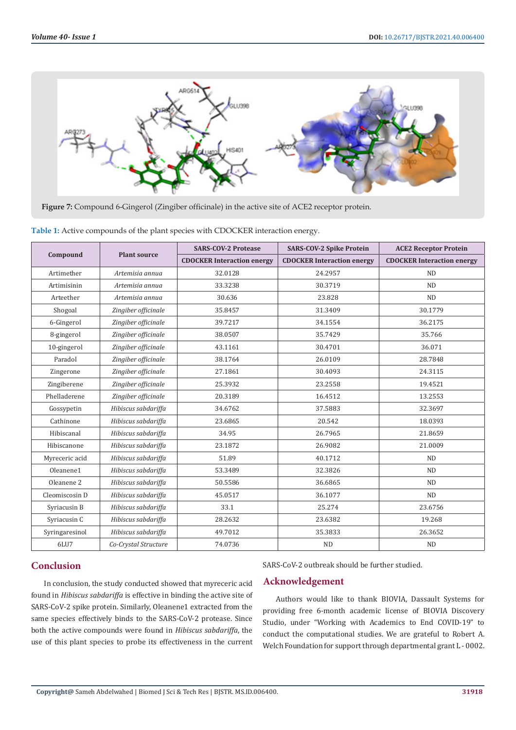

**Figure 7:** Compound 6-Gingerol (Zingiber officinale) in the active site of ACE2 receptor protein.

| Table 1: Active compounds of the plant species with CDOCKER interaction energy. |
|---------------------------------------------------------------------------------|
|                                                                                 |

| Compound              | <b>Plant source</b>  | <b>SARS-COV-2 Protease</b>        | <b>SARS-COV-2 Spike Protein</b>   | <b>ACE2 Receptor Protein</b>      |
|-----------------------|----------------------|-----------------------------------|-----------------------------------|-----------------------------------|
|                       |                      | <b>CDOCKER Interaction energy</b> | <b>CDOCKER Interaction energy</b> | <b>CDOCKER Interaction energy</b> |
| Artimether            | Artemisia annua      | 32.0128                           | 24.2957                           | <b>ND</b>                         |
| Artimisinin           | Artemisia annua      | 33.3238                           | 30.3719                           | <b>ND</b>                         |
| Arteether             | Artemisia annua      | 30.636                            | 23.828                            | <b>ND</b>                         |
| Shogoal               | Zingiber officinale  | 35.8457                           | 31.3409                           | 30.1779                           |
| 6-Gingerol            | Zingiber officinale  | 39.7217                           | 34.1554                           | 36.2175                           |
| 8-gingerol            | Zingiber officinale  | 38.0507                           | 35.7429                           | 35.766                            |
| 10-gingerol           | Zingiber officinale  | 43.1161                           | 30.4701                           | 36.071                            |
| Paradol               | Zingiber officinale  | 38.1764                           | 26.0109                           | 28.7848                           |
| Zingerone             | Zingiber officinale  | 27.1861                           | 30.4093                           | 24.3115                           |
| Zingiberene           | Zingiber officinale  | 25.3932                           | 23.2558                           | 19.4521                           |
| Phelladerene          | Zingiber officinale  | 20.3189                           | 16.4512                           | 13.2553                           |
| Gossypetin            | Hibiscus sabdariffa  | 34.6762                           | 37.5883                           | 32.3697                           |
| Cathinone             | Hibiscus sabdariffa  | 23.6865                           | 20.542                            | 18.0393                           |
| Hibiscanal            | Hibiscus sabdariffa  | 34.95                             | 26.7965                           | 21.8659                           |
| Hibiscanone           | Hibiscus sabdariffa  | 23.1872                           | 26.9082                           | 21.0009                           |
| Myreceric acid        | Hibiscus sabdariffa  | 51.89                             | 40.1712                           | <b>ND</b>                         |
| Oleanene1             | Hibiscus sabdariffa  | 53.3489                           | 32.3826                           | <b>ND</b>                         |
| Oleanene <sub>2</sub> | Hibiscus sabdariffa  | 50.5586                           | 36.6865                           | <b>ND</b>                         |
| Cleomiscosin D        | Hibiscus sabdariffa  | 45.0517                           | 36.1077                           | ND                                |
| Syriacusin B          | Hibiscus sabdariffa  | 33.1                              | 25.274                            | 23.6756                           |
| Syriacusin C          | Hibiscus sabdariffa  | 28.2632                           | 23.6382                           | 19.268                            |
| Syringaresinol        | Hibiscus sabdariffa  | 49.7012                           | 35.3833                           | 26.3652                           |
| 6LU7                  | Co-Crystal Structure | 74.0736                           | ND                                | ND                                |

# **Conclusion**

In conclusion, the study conducted showed that myreceric acid found in *Hibiscus sabdariffa* is effective in binding the active site of SARS-CoV-2 spike protein. Similarly, Oleanene1 extracted from the same species effectively binds to the SARS-CoV-2 protease. Since both the active compounds were found in *Hibiscus sabdariffa*, the use of this plant species to probe its effectiveness in the current SARS-CoV-2 outbreak should be further studied.

# **Acknowledgement**

Authors would like to thank BIOVIA, Dassault Systems for providing free 6-month academic license of BIOVIA Discovery Studio, under "Working with Academics to End COVID-19" to conduct the computational studies. We are grateful to Robert A. Welch Foundation for support through departmental grant L - 0002.